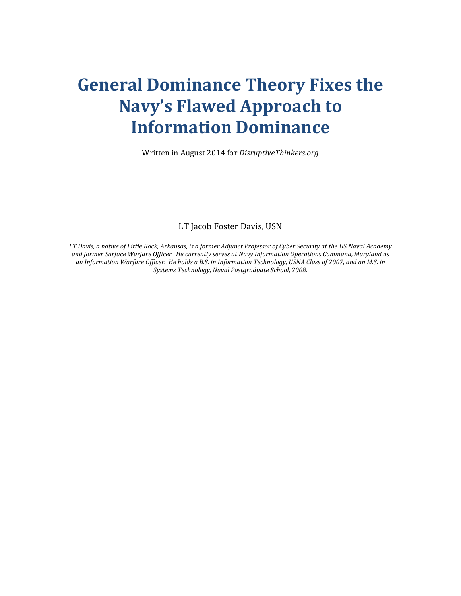## **General Dominance Theory Fixes the Navy's Flawed Approach to Information Dominance**

Written in August 2014 for *DisruptiveThinkers.org*

LT Jacob Foster Davis, USN

*LT* Davis, a native of Little Rock, Arkansas, is a former Adjunct Professor of Cyber Security at the US Naval Academy and former Surface Warfare Officer. He currently serves at Navy Information Operations Command, Maryland as an Information Warfare Officer. He holds a B.S. in Information Technology, USNA Class of 2007, and an M.S. in Systems Technology, Naval Postgraduate School, 2008.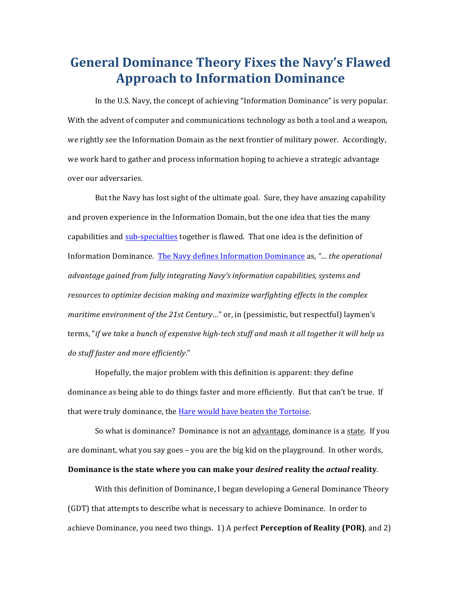## **General Dominance Theory Fixes the Navy's Flawed Approach to Information Dominance**

In the U.S. Navy, the concept of achieving "Information Dominance" is very popular. With the advent of computer and communications technology as both a tool and a weapon, we rightly see the Information Domain as the next frontier of military power. Accordingly, we work hard to gather and process information hoping to achieve a strategic advantage over our adversaries.

But the Navy has lost sight of the ultimate goal. Sure, they have amazing capability and proven experience in the Information Domain, but the one idea that ties the many capabilities and sub-specialties together is flawed. That one idea is the definition of Information Dominance. The Navy defines Information Dominance as, "... the operational *advantage gained from fully integrating Navy's information capabilities, systems and* resources to optimize decision making and maximize warfighting effects in the complex *maritime environment of the 21st Century..."* or, in (pessimistic, but respectful) laymen's terms, "*if* we take a bunch of expensive high-tech stuff and mash it all together it will help us *do stuff faster and more efficiently*."

Hopefully, the major problem with this definition is apparent: they define dominance as being able to do things faster and more efficiently. But that can't be true. If that were truly dominance, the Hare would have beaten the Tortoise.

So what is dominance? Dominance is not an advantage, dominance is a state. If you are dominant, what you say goes  $-$  you are the big kid on the playground. In other words, **Dominance is the state where you can make your** *desired* **reality the** *actual* **reality.** 

With this definition of Dominance, I began developing a General Dominance Theory (GDT) that attempts to describe what is necessary to achieve Dominance. In order to achieve Dominance, you need two things. 1) A perfect **Perception of Reality (POR)**, and 2)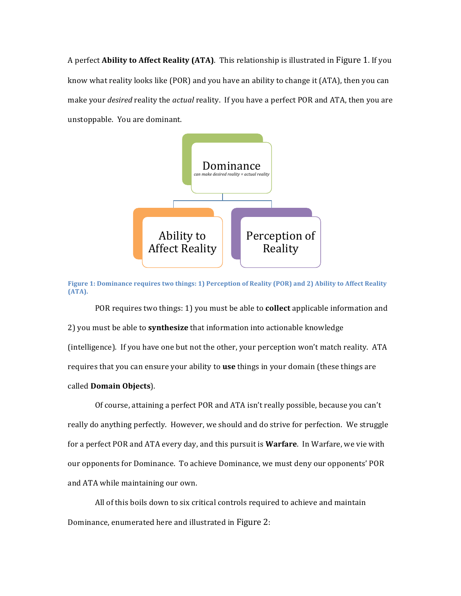A perfect **Ability to Affect Reality (ATA)**. This relationship is illustrated in Figure 1. If you know what reality looks like  $(POR)$  and you have an ability to change it  $(ATA)$ , then you can make your *desired* reality the *actual* reality. If you have a perfect POR and ATA, then you are unstoppable. You are dominant.



**Figure 1: Dominance requires two things: 1) Perception of Reality (POR) and 2) Ability to Affect Reality (ATA).**

POR requires two things: 1) you must be able to **collect** applicable information and 2) you must be able to **synthesize** that information into actionable knowledge (intelligence). If you have one but not the other, your perception won't match reality. ATA requires that you can ensure your ability to **use** things in your domain (these things are called **Domain Objects**).

Of course, attaining a perfect POR and ATA isn't really possible, because you can't really do anything perfectly. However, we should and do strive for perfection. We struggle for a perfect POR and ATA every day, and this pursuit is **Warfare**. In Warfare, we vie with our opponents for Dominance. To achieve Dominance, we must deny our opponents' POR and ATA while maintaining our own.

All of this boils down to six critical controls required to achieve and maintain Dominance, enumerated here and illustrated in Figure 2: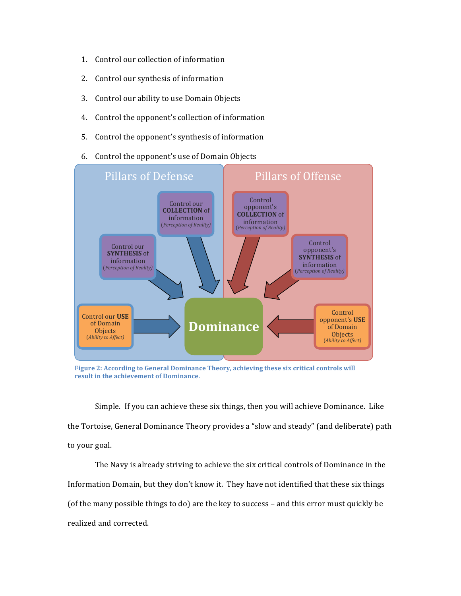- 1. Control our collection of information
- 2. Control our synthesis of information
- 3. Control our ability to use Domain Objects
- 4. Control the opponent's collection of information
- 5. Control the opponent's synthesis of information
- 6. Control the opponent's use of Domain Objects



Figure 2: According to General Dominance Theory, achieving these six critical controls will **result in the achievement of Dominance.** 

Simple. If you can achieve these six things, then you will achieve Dominance. Like the Tortoise, General Dominance Theory provides a "slow and steady" (and deliberate) path to your goal.

The Navy is already striving to achieve the six critical controls of Dominance in the Information Domain, but they don't know it. They have not identified that these six things (of the many possible things to do) are the key to success – and this error must quickly be realized and corrected.